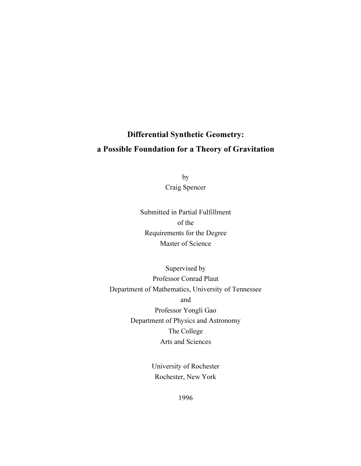# Differential Synthetic Geometry: a Possible Foundation for a Theory of Gravitation

by Craig Spencer

Submitted in Partial Fulfillment of the Requirements for the Degree Master of Science

Supervised by Professor Conrad Plaut Department of Mathematics, University of Tennessee and Professor Yongli Gao Department of Physics and Astronomy The College Arts and Sciences

> University of Rochester Rochester, New York

> > 1996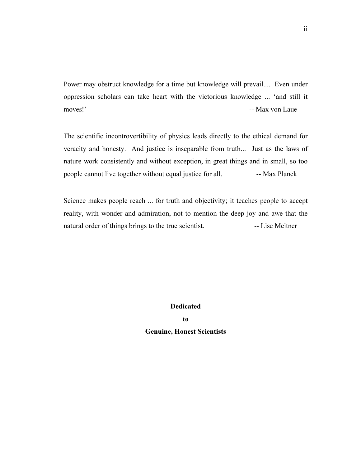Power may obstruct knowledge for a time but knowledge will prevail.... Even under oppression scholars can take heart with the victorious knowledge ... 'and still it moves!' The moves!' The moves!' The moves!' The moves!' The moves!' The moves!' The moves!' The moves!' The moves!' The moves!' The moves!' The moves!' The moves!' The moves!' The moves!' The moves!' The moves!' The moves!

The scientific incontrovertibility of physics leads directly to the ethical demand for veracity and honesty. And justice is inseparable from truth... Just as the laws of nature work consistently and without exception, in great things and in small, so too people cannot live together without equal justice for all. -- Max Planck

Science makes people reach ... for truth and objectivity; it teaches people to accept reality, with wonder and admiration, not to mention the deep joy and awe that the natural order of things brings to the true scientist. -- Lise Meitner

Dedicated

to Genuine, Honest Scientists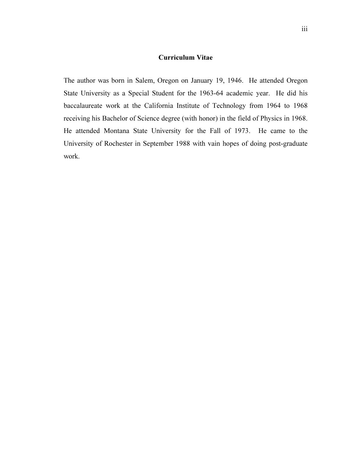#### Curriculum Vitae

The author was born in Salem, Oregon on January 19, 1946. He attended Oregon State University as a Special Student for the 1963-64 academic year. He did his baccalaureate work at the California Institute of Technology from 1964 to 1968 receiving his Bachelor of Science degree (with honor) in the field of Physics in 1968. He attended Montana State University for the Fall of 1973. He came to the University of Rochester in September 1988 with vain hopes of doing post-graduate work.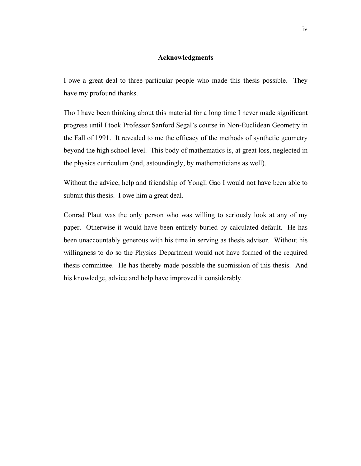#### Acknowledgments

I owe a great deal to three particular people who made this thesis possible. They have my profound thanks.

Tho I have been thinking about this material for a long time I never made significant progress until I took Professor Sanford Segal's course in Non-Euclidean Geometry in the Fall of 1991. It revealed to me the efficacy of the methods of synthetic geometry beyond the high school level. This body of mathematics is, at great loss, neglected in the physics curriculum (and, astoundingly, by mathematicians as well).

Without the advice, help and friendship of Yongli Gao I would not have been able to submit this thesis. I owe him a great deal.

Conrad Plaut was the only person who was willing to seriously look at any of my paper. Otherwise it would have been entirely buried by calculated default. He has been unaccountably generous with his time in serving as thesis advisor. Without his willingness to do so the Physics Department would not have formed of the required thesis committee. He has thereby made possible the submission of this thesis. And his knowledge, advice and help have improved it considerably.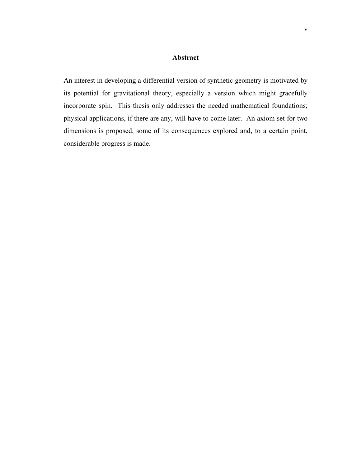#### Abstract

An interest in developing a differential version of synthetic geometry is motivated by its potential for gravitational theory, especially a version which might gracefully incorporate spin. This thesis only addresses the needed mathematical foundations; physical applications, if there are any, will have to come later. An axiom set for two dimensions is proposed, some of its consequences explored and, to a certain point, considerable progress is made.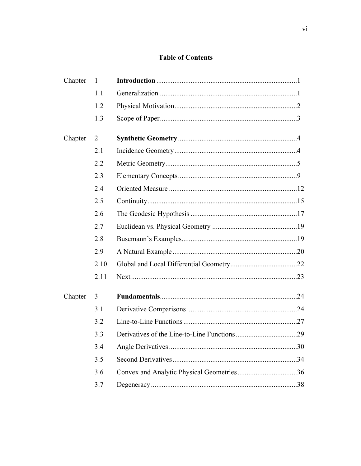### **Table of Contents**

| Chapter | $\mathbf{1}$ |                                           |  |
|---------|--------------|-------------------------------------------|--|
|         | 1.1          |                                           |  |
|         | 1.2          |                                           |  |
|         | 1.3          |                                           |  |
| Chapter | 2            |                                           |  |
|         | 2.1          |                                           |  |
|         | 2.2          |                                           |  |
|         | 2.3          |                                           |  |
|         | 2.4          |                                           |  |
|         | 2.5          |                                           |  |
|         | 2.6          |                                           |  |
|         | 2.7          |                                           |  |
|         | 2.8          |                                           |  |
|         | 2.9          |                                           |  |
|         | 2.10         |                                           |  |
|         | 2.11         |                                           |  |
| Chapter | 3            |                                           |  |
|         | 3.1          |                                           |  |
|         | 3.2          |                                           |  |
|         | 3.3          |                                           |  |
|         | 3.4          |                                           |  |
|         | 3.5          |                                           |  |
|         | 3.6          | Convex and Analytic Physical Geometries36 |  |
|         | 3.7          |                                           |  |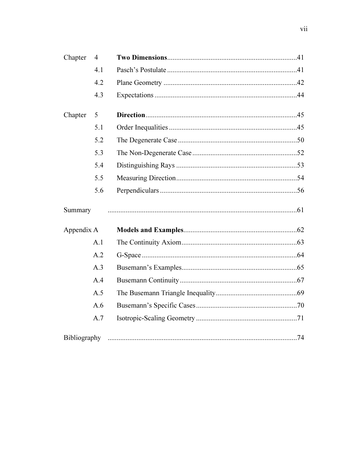| Chapter      | $\overline{4}$ |  |
|--------------|----------------|--|
|              | 4.1            |  |
|              | 4.2            |  |
|              | 4.3            |  |
| Chapter      | 5              |  |
|              | 5.1            |  |
|              | 5.2            |  |
|              | 5.3            |  |
|              | 5.4            |  |
|              | 5.5            |  |
|              | 5.6            |  |
| Summary      |                |  |
| Appendix A   |                |  |
|              | A.1            |  |
|              | A.2            |  |
|              | A.3            |  |
|              | A.4            |  |
|              | A.5            |  |
|              | A.6            |  |
|              | A.7            |  |
| Bibliography |                |  |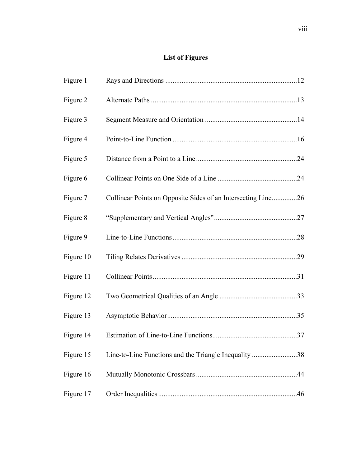## List of Figures

| Figure 1  |                                                              |  |
|-----------|--------------------------------------------------------------|--|
| Figure 2  |                                                              |  |
| Figure 3  |                                                              |  |
| Figure 4  |                                                              |  |
| Figure 5  |                                                              |  |
| Figure 6  |                                                              |  |
| Figure 7  | Collinear Points on Opposite Sides of an Intersecting Line26 |  |
| Figure 8  |                                                              |  |
| Figure 9  |                                                              |  |
| Figure 10 |                                                              |  |
| Figure 11 |                                                              |  |
| Figure 12 |                                                              |  |
| Figure 13 |                                                              |  |
| Figure 14 |                                                              |  |
| Figure 15 | Line-to-Line Functions and the Triangle Inequality 38        |  |
| Figure 16 |                                                              |  |
| Figure 17 |                                                              |  |